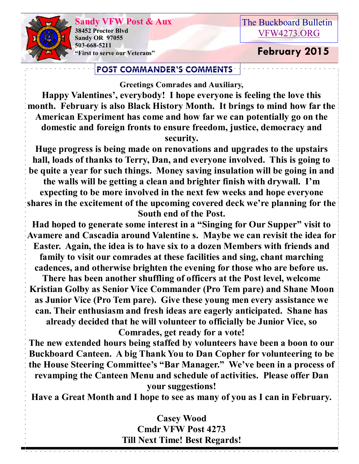**Sandy VFW Post & Aux 38452 Proctor Blvd Sandy OR 97055 503-668-5211 "First to serve our Veterans" February 2015** 

## The Buckboard Bulletin [VFW4273.ORG](http://vfw4273.org/)

### **POST COMMANDER'S COMMENTS**

**Greetings Comrades and Auxiliary,**

**Happy Valentines', everybody! I hope everyone is feeling the love this month. February is also Black History Month. It brings to mind how far the American Experiment has come and how far we can potentially go on the domestic and foreign fronts to ensure freedom, justice, democracy and security.** 

**Huge progress is being made on renovations and upgrades to the upstairs hall, loads of thanks to Terry, Dan, and everyone involved. This is going to be quite a year for such things. Money saving insulation will be going in and the walls will be getting a clean and brighter finish with drywall. I'm expecting to be more involved in the next few weeks and hope everyone shares in the excitement of the upcoming covered deck we're planning for the South end of the Post.** 

**Had hoped to generate some interest in a "Singing for Our Supper" visit to Avamere and Cascadia around Valentine s. Maybe we can revisit the idea for Easter. Again, the idea is to have six to a dozen Members with friends and family to visit our comrades at these facilities and sing, chant marching cadences, and otherwise brighten the evening for those who are before us. There has been another shuffling of officers at the Post level, welcome** 

**Kristian Golby as Senior Vice Commander (Pro Tem pare) and Shane Moon as Junior Vice (Pro Tem pare). Give these young men every assistance we can. Their enthusiasm and fresh ideas are eagerly anticipated. Shane has already decided that he will volunteer to officially be Junior Vice, so Comrades, get ready for a vote!**

**The new extended hours being staffed by volunteers have been a boon to our Buckboard Canteen. A big Thank You to Dan Copher for volunteering to be the House Steering Committee's "Bar Manager." We've been in a process of revamping the Canteen Menu and schedule of activities. Please offer Dan your suggestions!**

**Have a Great Month and I hope to see as many of you as I can in February.**

## **Casey Wood Cmdr VFW Post 4273 Till Next Time! Best Regards!**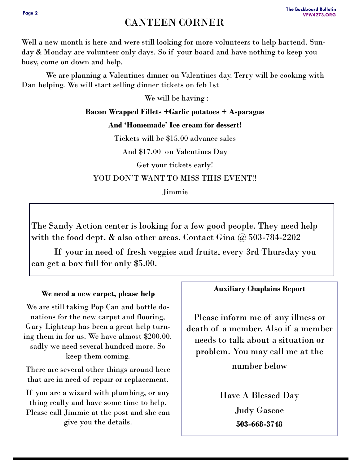## CANTEEN CORNER

Well a new month is here and were still looking for more volunteers to help bartend. Sunday & Monday are volunteer only days. So if your board and have nothing to keep you busy, come on down and help.

 We are planning a Valentines dinner on Valentines day. Terry will be cooking with Dan helping. We will start selling dinner tickets on feb 1st

We will be having :

**Bacon Wrapped Fillets +Garlic potatoes + Asparagus And 'Homemade' Ice cream for dessert!** Tickets will be \$15.00 advance sales

And \$17.00 on Valentines Day

Get your tickets early!

YOU DON'T WANT TO MISS THIS EVENT!!

Jimmie

The Sandy Action center is looking for a few good people. They need help with the food dept.  $\&$  also other areas. Contact Gina  $\omega$  503-784-2202

 If your in need of fresh veggies and fruits, every 3rd Thursday you can get a box full for only \$5.00.

**We need a new carpet, please help**

We are still taking Pop Can and bottle donations for the new carpet and flooring, Gary Lightcap has been a great help turning them in for us. We have almost \$200.00. sadly we need several hundred more. So keep them coming.

There are several other things around here that are in need of repair or replacement.

If you are a wizard with plumbing, or any thing really and have some time to help. Please call Jimmie at the post and she can give you the details.

#### **Auxiliary Chaplains Report**

Please inform me of any illness or death of a member. Also if a member needs to talk about a situation or problem. You may call me at the number below

> Have A Blessed Day Judy Gascoe **503-668-3748**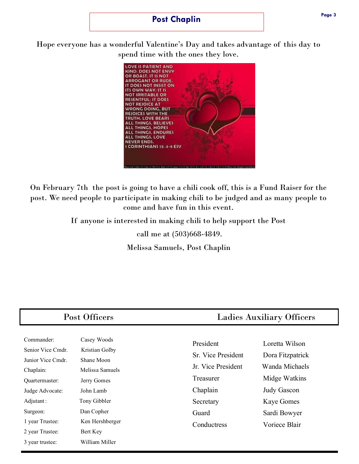#### **Post Chaplin**

Hope everyone has a wonderful Valentine's Day and takes advantage of this day to spend time with the ones they love.



On February 7th the post is going to have a chili cook off, this is a Fund Raiser for the post. We need people to participate in making chili to be judged and as many people to come and have fun in this event.

> If anyone is interested in making chili to help support the Post call me at (503)668-4849. Melissa Samuels, Post Chaplin

| Post Officers                                                                                                                                                         |                                                                                                                                                         | <b>Ladies Auxiliary Officers</b>                                                                                    |                                                                                                                                            |
|-----------------------------------------------------------------------------------------------------------------------------------------------------------------------|---------------------------------------------------------------------------------------------------------------------------------------------------------|---------------------------------------------------------------------------------------------------------------------|--------------------------------------------------------------------------------------------------------------------------------------------|
| Commander:<br>Senior Vice Cmdr.<br>Junior Vice Cmdr.<br>Chaplain:<br>Quartermaster:<br>Judge Advocate:<br>Adjutant:<br>Surgeon:<br>1 year Trustee:<br>2 year Trustee: | Casey Woods<br>Kristian Golby<br>Shane Moon<br>Melissa Samuels<br>Jerry Gomes<br>John Lamb<br>Tony Gibbler<br>Dan Copher<br>Ken Hershberger<br>Bert Key | President<br>Sr. Vice President<br>Jr. Vice President<br>Treasurer<br>Chaplain<br>Secretary<br>Guard<br>Conductress | Loretta Wilson<br>Dora Fitzpatrick<br>Wanda Michaels<br>Midge Watkins<br>Judy Gascon<br><b>Kaye Gomes</b><br>Sardi Bowyer<br>Voriece Blair |

3 year trustee: William Miller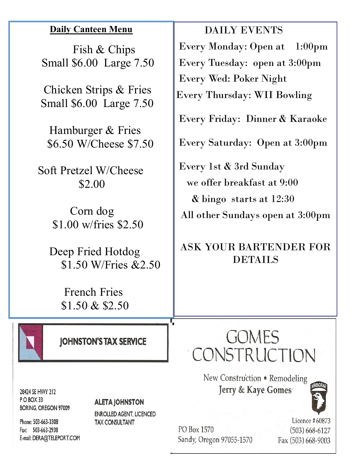## **Daily Canteen Menu**

 Fish & Chips Small \$6.00 Large 7.50

 Chicken Strips & Fries Small \$6.00 Large 7.50

 Hamburger & Fries \$6.50 W/Cheese \$7.50

 Soft Pretzel W/Cheese \$2.00

> Corn dog \$1.00 w/fries \$2.50

 Deep Fried Hotdog \$1.50 W/Fries &2.50

> French Fries \$1.50 & \$2.50



**JOHNSTON'S TAX SERVICE** 

28424 SE HWY 212 POBOX 33 **BORING, OREGON 97009** 

#### **ALETA JOHNSTON**

**ENROLLED AGENT, LICENCED TAX CONSULTANT** 

Phone: 503-663-3308 Fax: 503-663-2938 E-mail: DERA@TELEPORT.COM

PO Box 1570 Sandy, Oregon 97055-1570

Licence #60873  $(503) 668 - 6127$ Fax (503) 668-9003

 DAILY EVENTS Every Monday: Open at 1:00pm Every Tuesday: open at 3:00pm Every Wed: Poker Night

Every Thursday: WII Bowling

Every Friday: Dinner & Karaoke

Every Saturday: Open at 3:00pm

Every 1st & 3rd Sunday we offer breakfast at 9:00 & bingo starts at 12:30 All other Sundays open at 3:00pm

# ASK YOUR BARTENDER FOR **DETAILS**

# **GOMES** CONSTRUCTION

New Construction . Remodeling Jerry & Kaye Gomes